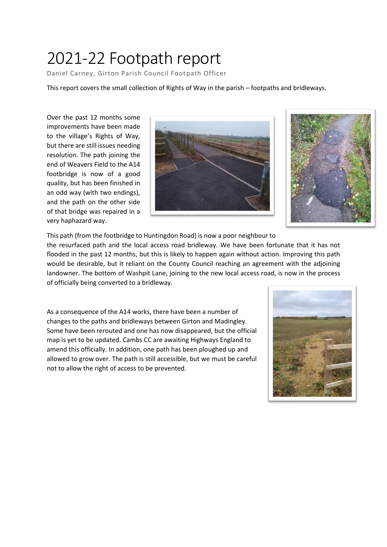## 2021-22 Footpath report

Daniel Carney, Girton Parish Council Footpath Officer

This report covers the small collection of Rights of Way in the parish – footpaths and bridleways.

Over the past 12 months some improvements have been made to the village's Rights of Way, but there are still issues needing resolution. The path joining the end of Weavers Field to the A14 footbridge is now of a good quality, but has been finished in an odd way (with two endings), and the path on the other side of that bridge was repaired in a very haphazard way.





This path (from the footbridge to Huntingdon Road) is now a poor neighbour to

the resurfaced path and the local access road bridleway. We have been fortunate that it has not flooded in the past 12 months, but this is likely to happen again without action. Improving this path would be desirable, but it reliant on the County Council reaching an agreement with the adjoining landowner. The bottom of Washpit Lane, joining to the new local access road, is now in the process of officially being converted to a bridleway.

As a consequence of the A14 works, there have been a number of changes to the paths and bridleways between Girton and Madingley. Some have been rerouted and one has now disappeared, but the official map is yet to be updated. Cambs CC are awaiting Highways England to amend this officially. In addition, one path has been ploughed up and allowed to grow over. The path is still accessible, but we must be careful not to allow the right of access to be prevented.